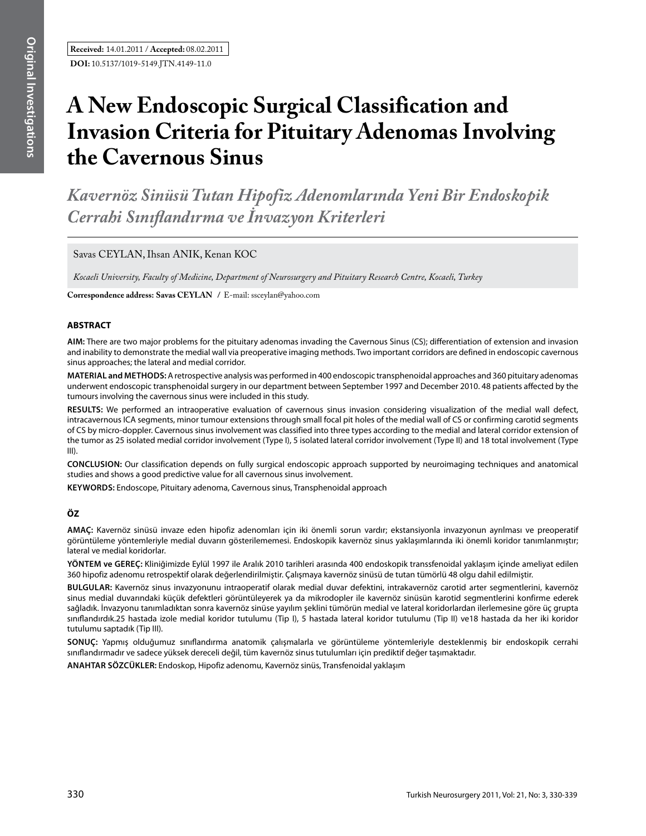# **A New Endoscopic Surgical Classification and Invasion Criteria for Pituitary Adenomas Involving the Cavernous Sinus**

*Kavernöz Sinüsü Tutan Hipofiz Adenomlarında Yeni Bir Endoskopik Cerrahi Sınıflandırma ve İnvazyon Kriterleri*

Savas CEYLAN, Ihsan ANIK, Kenan KOC

*Kocaeli University, Faculty of Medicine, Department of Neurosurgery and Pituitary Research Centre, Kocaeli, Turkey*

**Correspondence address: Savas CEYLAN /** E-mail: ssceylan@yahoo.com

### **ABSTRACT**

**AIm:** There are two major problems for the pituitary adenomas invading the Cavernous Sinus (CS); differentiation of extension and invasion and inability to demonstrate the medial wall via preoperative imaging methods. Two important corridors are defined in endoscopic cavernous sinus approaches; the lateral and medial corridor.

**MaterIal and Methods:** A retrospective analysis was performed in 400 endoscopic transphenoidal approaches and 360 pituitary adenomas underwent endoscopic transphenoidal surgery in our department between September 1997 and December 2010. 48 patients affected by the tumours involving the cavernous sinus were included in this study.

**Results:** We performed an intraoperative evaluation of cavernous sinus invasion considering visualization of the medial wall defect, intracavernous ICA segments, minor tumour extensions through small focal pit holes of the medial wall of CS or confirming carotid segments of CS by micro-doppler. Cavernous sinus involvement was classified into three types according to the medial and lateral corridor extension of the tumor as 25 isolated medial corridor involvement (Type I), 5 isolated lateral corridor involvement (Type II) and 18 total involvement (Type III).

**ConclusIon:** Our classification depends on fully surgical endoscopic approach supported by neuroimaging techniques and anatomical studies and shows a good predictive value for all cavernous sinus involvement.

**Keywords:** Endoscope, Pituitary adenoma, Cavernous sinus, Transphenoidal approach

## **ÖZ**

**AMAÇ:** Kavernöz sinüsü invaze eden hipofiz adenomları için iki önemli sorun vardır; ekstansiyonla invazyonun ayrılması ve preoperatif görüntüleme yöntemleriyle medial duvarın gösterilememesi. Endoskopik kavernöz sinus yaklaşımlarında iki önemli koridor tanımlanmıştır; lateral ve medial koridorlar.

**YÖNTEM ve GEREÇ:** Kliniğimizde Eylül 1997 ile Aralık 2010 tarihleri arasında 400 endoskopik transsfenoidal yaklaşım içinde ameliyat edilen 360 hipofiz adenomu retrospektif olarak değerlendirilmiştir. Çalışmaya kavernöz sinüsü de tutan tümörlü 48 olgu dahil edilmiştir.

**BULGULAR:** Kavernöz sinus invazyonunu intraoperatif olarak medial duvar defektini, intrakavernöz carotid arter segmentlerini, kavernöz sinus medial duvarındaki küçük defektleri görüntüleyerek ya da mikrodopler ile kavernöz sinüsün karotid segmentlerini konfirme ederek sağladık. İnvazyonu tanımladıktan sonra kavernöz sinüse yayılım şeklini tümörün medial ve lateral koridorlardan ilerlemesine göre üç grupta sınıflandırdık.25 hastada izole medial koridor tutulumu (Tip I), 5 hastada lateral koridor tutulumu (Tip II) ve18 hastada da her iki koridor tutulumu saptadık (Tip III).

**SONUÇ:** Yapmış olduğumuz sınıflandırma anatomik çalışmalarla ve görüntüleme yöntemleriyle desteklenmiş bir endoskopik cerrahi sınıflandırmadır ve sadece yüksek dereceli değil, tüm kavernöz sinus tutulumları için prediktif değer taşımaktadır.

**ANAHTAR SÖZCÜKLER:** Endoskop, Hipofiz adenomu, Kavernöz sinüs, Transfenoidal yaklaşım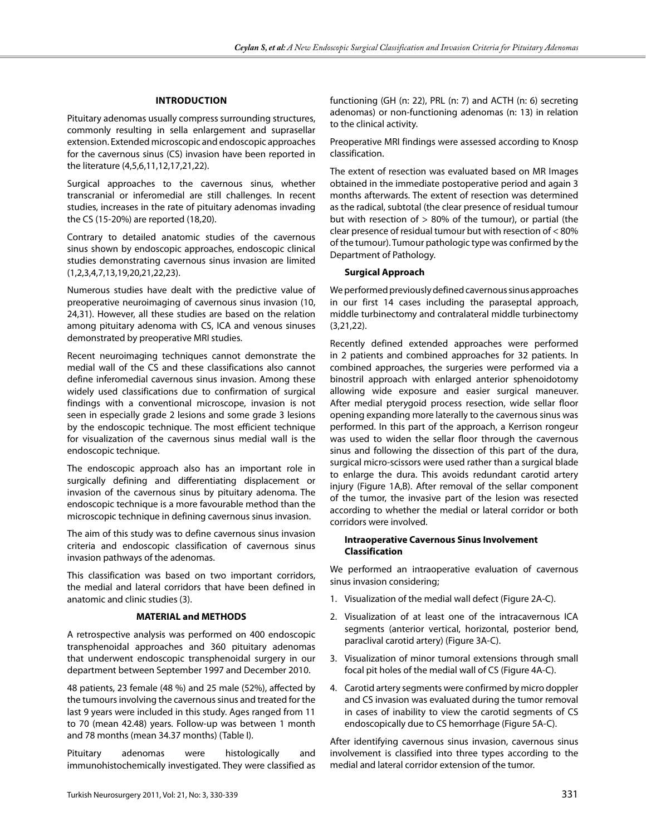#### **IntroductIon**

Pituitary adenomas usually compress surrounding structures, commonly resulting in sella enlargement and suprasellar extension. Extended microscopic and endoscopic approaches for the cavernous sinus (CS) invasion have been reported in the literature (4,5,6,11,12,17,21,22).

Surgical approaches to the cavernous sinus, whether transcranial or inferomedial are still challenges. In recent studies, increases in the rate of pituitary adenomas invading the CS (15-20%) are reported (18,20).

Contrary to detailed anatomic studies of the cavernous sinus shown by endoscopic approaches, endoscopic clinical studies demonstrating cavernous sinus invasion are limited (1,2,3,4,7,13,19,20,21,22,23).

Numerous studies have dealt with the predictive value of preoperative neuroimaging of cavernous sinus invasion (10, 24,31). However, all these studies are based on the relation among pituitary adenoma with CS, ICA and venous sinuses demonstrated by preoperative MRI studies.

Recent neuroimaging techniques cannot demonstrate the medial wall of the CS and these classifications also cannot define inferomedial cavernous sinus invasion. Among these widely used classifications due to confirmation of surgical findings with a conventional microscope, invasion is not seen in especially grade 2 lesions and some grade 3 lesions by the endoscopic technique. The most efficient technique for visualization of the cavernous sinus medial wall is the endoscopic technique.

The endoscopic approach also has an important role in surgically defining and differentiating displacement or invasion of the cavernous sinus by pituitary adenoma. The endoscopic technique is a more favourable method than the microscopic technique in defining cavernous sinus invasion.

The aim of this study was to define cavernous sinus invasion criteria and endoscopic classification of cavernous sinus invasion pathways of the adenomas.

This classification was based on two important corridors, the medial and lateral corridors that have been defined in anatomic and clinic studies (3).

#### **MATERIAL and METHODS**

A retrospective analysis was performed on 400 endoscopic transphenoidal approaches and 360 pituitary adenomas that underwent endoscopic transphenoidal surgery in our department between September 1997 and December 2010.

48 patients, 23 female (48 %) and 25 male (52%), affected by the tumours involving the cavernous sinus and treated for the last 9 years were included in this study. Ages ranged from 11 to 70 (mean 42.48) years. Follow-up was between 1 month and 78 months (mean 34.37 months) (Table I).

Pituitary adenomas were histologically and immunohistochemically investigated. They were classified as functioning (GH (n: 22), PRL (n: 7) and ACTH (n: 6) secreting adenomas) or non-functioning adenomas (n: 13) in relation to the clinical activity.

Preoperative MRI findings were assessed according to Knosp classification.

The extent of resection was evaluated based on MR Images obtained in the immediate postoperative period and again 3 months afterwards. The extent of resection was determined as the radical, subtotal (the clear presence of residual tumour but with resection of  $> 80\%$  of the tumour), or partial (the clear presence of residual tumour but with resection of < 80% of the tumour). Tumour pathologic type was confirmed by the Department of Pathology.

#### **Surgical Approach**

We performed previously defined cavernous sinus approaches in our first 14 cases including the paraseptal approach, middle turbinectomy and contralateral middle turbinectomy (3,21,22).

Recently defined extended approaches were performed in 2 patients and combined approaches for 32 patients. In combined approaches, the surgeries were performed via a binostril approach with enlarged anterior sphenoidotomy allowing wide exposure and easier surgical maneuver. After medial pterygoid process resection, wide sellar floor opening expanding more laterally to the cavernous sinus was performed. In this part of the approach, a Kerrison rongeur was used to widen the sellar floor through the cavernous sinus and following the dissection of this part of the dura, surgical micro-scissors were used rather than a surgical blade to enlarge the dura. This avoids redundant carotid artery injury (Figure 1A,B). After removal of the sellar component of the tumor, the invasive part of the lesion was resected according to whether the medial or lateral corridor or both corridors were involved.

#### **Intraoperative Cavernous Sinus Involvement Classification**

We performed an intraoperative evaluation of cavernous sinus invasion considering;

- 1. Visualization of the medial wall defect (Figure 2A-C).
- 2. Visualization of at least one of the intracavernous ICA segments (anterior vertical, horizontal, posterior bend, paraclival carotid artery) (Figure 3A-C).
- 3. Visualization of minor tumoral extensions through small focal pit holes of the medial wall of CS (Figure 4A-C).
- 4. Carotid artery segments were confirmed by micro doppler and CS invasion was evaluated during the tumor removal in cases of inability to view the carotid segments of CS endoscopically due to CS hemorrhage (Figure 5A-C).

After identifying cavernous sinus invasion, cavernous sinus involvement is classified into three types according to the medial and lateral corridor extension of the tumor.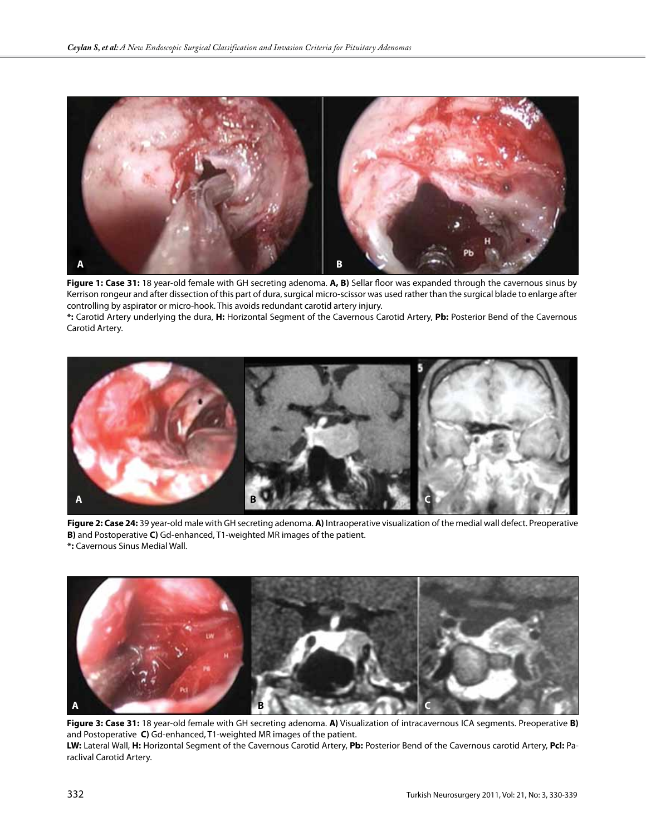

**Figure 1: Case 31:** 18 year-old female with GH secreting adenoma. **A, B)** Sellar floor was expanded through the cavernous sinus by Kerrison rongeur and after dissection of this part of dura, surgical micro-scissor was used rather than the surgical blade to enlarge after controlling by aspirator or micro-hook. This avoids redundant carotid artery injury.

**\*:** Carotid Artery underlying the dura, **H:** Horizontal Segment of the Cavernous Carotid Artery, **Pb:** Posterior Bend of the Cavernous Carotid Artery.



**Figure 2: Case 24:** 39 year-old male with GH secreting adenoma. **A)** Intraoperative visualization of the medial wall defect. Preoperative **B)** and Postoperative **C)** Gd-enhanced, T1-weighted MR images of the patient. **\*:** Cavernous Sinus Medial Wall.



**Figure 3: Case 31:** 18 year-old female with GH secreting adenoma. **A)** Visualization of intracavernous ICA segments. Preoperative **B)**  and Postoperative **C)** Gd-enhanced, T1-weighted MR images of the patient.

**LW:** Lateral Wall, **H:** Horizontal Segment of the Cavernous Carotid Artery, **Pb:** Posterior Bend of the Cavernous carotid Artery, **Pcl:** Paraclival Carotid Artery.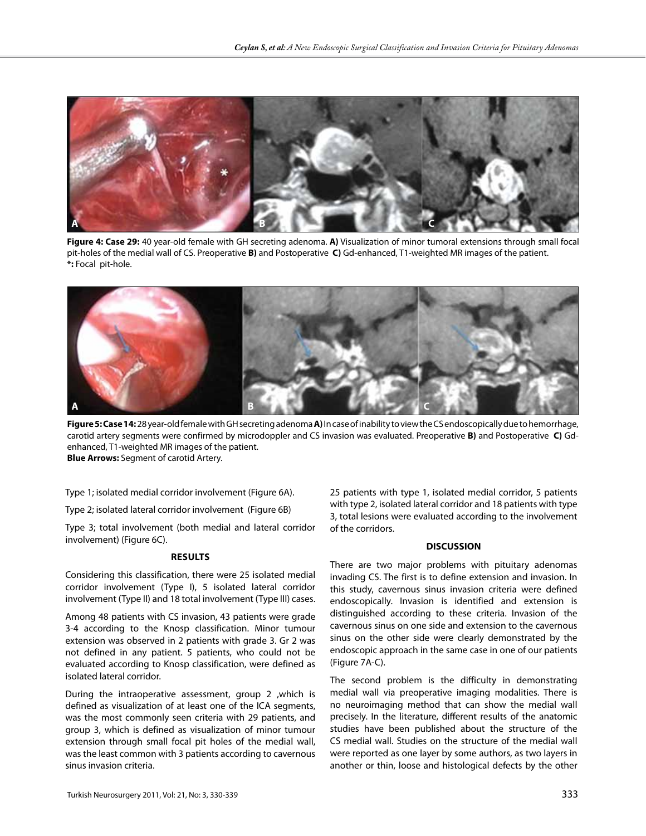

**Figure 4: Case 29:** 40 year-old female with GH secreting adenoma. **A)** Visualization of minor tumoral extensions through small focal pit-holes of the medial wall of CS. Preoperative **B)** and Postoperative **C)** Gd-enhanced, T1-weighted MR images of the patient. **\*:** Focal pit-hole.



**Figure 5: Case 14:** 28 year-old female with GH secreting adenoma **A)** In case of inability to view the CS endoscopically due to hemorrhage, carotid artery segments were confirmed by microdoppler and CS invasion was evaluated. Preoperative **B)** and Postoperative **C)** Gdenhanced, T1-weighted MR images of the patient. **Blue Arrows:** Segment of carotid Artery.

Type 1; isolated medial corridor involvement (Figure 6A).

Type 2; isolated lateral corridor involvement (Figure 6B)

Type 3; total involvement (both medial and lateral corridor involvement) (Figure 6C).

#### **Results**

Considering this classification, there were 25 isolated medial corridor involvement (Type I), 5 isolated lateral corridor involvement (Type II) and 18 total involvement (Type III) cases.

Among 48 patients with CS invasion, 43 patients were grade 3-4 according to the Knosp classification. Minor tumour extension was observed in 2 patients with grade 3. Gr 2 was not defined in any patient. 5 patients, who could not be evaluated according to Knosp classification, were defined as isolated lateral corridor.

During the intraoperative assessment, group 2 ,which is defined as visualization of at least one of the ICA segments, was the most commonly seen criteria with 29 patients, and group 3, which is defined as visualization of minor tumour extension through small focal pit holes of the medial wall, was the least common with 3 patients according to cavernous sinus invasion criteria.

25 patients with type 1, isolated medial corridor, 5 patients with type 2, isolated lateral corridor and 18 patients with type 3, total lesions were evaluated according to the involvement of the corridors.

#### **DISCUSSION**

There are two major problems with pituitary adenomas invading CS. The first is to define extension and invasion. In this study, cavernous sinus invasion criteria were defined endoscopically. Invasion is identified and extension is distinguished according to these criteria. Invasion of the cavernous sinus on one side and extension to the cavernous sinus on the other side were clearly demonstrated by the endoscopic approach in the same case in one of our patients (Figure 7A-C).

The second problem is the difficulty in demonstrating medial wall via preoperative imaging modalities. There is no neuroimaging method that can show the medial wall precisely. In the literature, different results of the anatomic studies have been published about the structure of the CS medial wall. Studies on the structure of the medial wall were reported as one layer by some authors, as two layers in another or thin, loose and histological defects by the other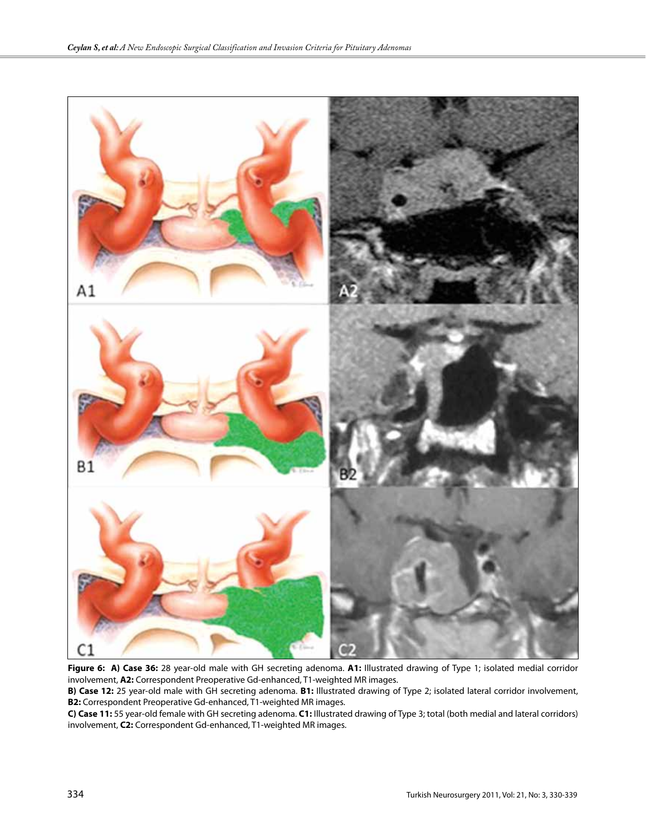

**Figure 6: A) Case 36:** 28 year-old male with GH secreting adenoma. **A1:** Illustrated drawing of Type 1; isolated medial corridor involvement, **A2:** Correspondent Preoperative Gd-enhanced, T1-weighted MR images.

**B) Case 12:** 25 year-old male with GH secreting adenoma. **B1:** Illustrated drawing of Type 2; isolated lateral corridor involvement, **B2:** Correspondent Preoperative Gd-enhanced, T1-weighted MR images.

**C) Case 11:** 55 year-old female with GH secreting adenoma. **C1:** Illustrated drawing of Type 3; total (both medial and lateral corridors) involvement, **C2:** Correspondent Gd-enhanced, T1-weighted MR images.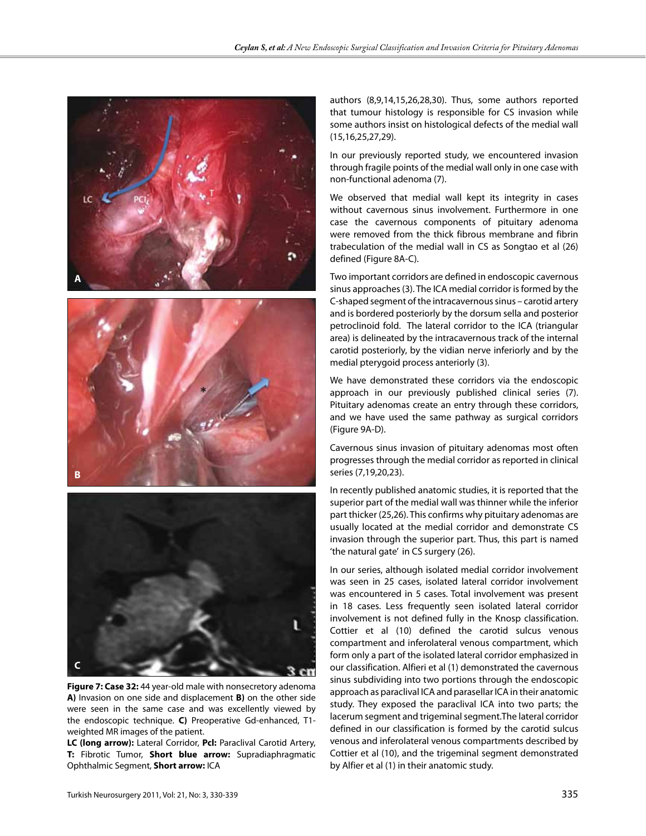





**Figure 7: Case 32:** 44 year-old male with nonsecretory adenoma **A)** Invasion on one side and displacement **B)** on the other side were seen in the same case and was excellently viewed by the endoscopic technique. **C)** Preoperative Gd-enhanced, T1 weighted MR images of the patient.

**LC (long arrow):** Lateral Corridor, **Pcl:** Paraclival Carotid Artery, **T:** Fibrotic Tumor, **Short blue arrow:** Supradiaphragmatic Ophthalmic Segment, **Short arrow:** ICA

authors (8,9,14,15,26,28,30). Thus, some authors reported that tumour histology is responsible for CS invasion while some authors insist on histological defects of the medial wall (15,16,25,27,29).

In our previously reported study, we encountered invasion through fragile points of the medial wall only in one case with non-functional adenoma (7).

We observed that medial wall kept its integrity in cases without cavernous sinus involvement. Furthermore in one case the cavernous components of pituitary adenoma were removed from the thick fibrous membrane and fibrin trabeculation of the medial wall in CS as Songtao et al (26) defined (Figure 8A-C).

Two important corridors are defined in endoscopic cavernous sinus approaches (3). The ICA medial corridor is formed by the C-shaped segment of the intracavernous sinus – carotid artery and is bordered posteriorly by the dorsum sella and posterior petroclinoid fold. The lateral corridor to the ICA (triangular area) is delineated by the intracavernous track of the internal carotid posteriorly, by the vidian nerve inferiorly and by the medial pterygoid process anteriorly (3).

We have demonstrated these corridors via the endoscopic approach in our previously published clinical series (7). Pituitary adenomas create an entry through these corridors, and we have used the same pathway as surgical corridors (Figure 9A-D).

Cavernous sinus invasion of pituitary adenomas most often progresses through the medial corridor as reported in clinical series (7,19,20,23).

In recently published anatomic studies, it is reported that the superior part of the medial wall was thinner while the inferior part thicker (25,26). This confirms why pituitary adenomas are usually located at the medial corridor and demonstrate CS invasion through the superior part. Thus, this part is named 'the natural gate' in CS surgery (26).

In our series, although isolated medial corridor involvement was seen in 25 cases, isolated lateral corridor involvement was encountered in 5 cases. Total involvement was present in 18 cases. Less frequently seen isolated lateral corridor involvement is not defined fully in the Knosp classification. Cottier et al (10) defined the carotid sulcus venous compartment and inferolateral venous compartment, which form only a part of the isolated lateral corridor emphasized in our classification. Alfieri et al (1) demonstrated the cavernous sinus subdividing into two portions through the endoscopic approach as paraclival ICA and parasellar ICA in their anatomic study. They exposed the paraclival ICA into two parts; the lacerum segment and trigeminal segment.The lateral corridor defined in our classification is formed by the carotid sulcus venous and inferolateral venous compartments described by Cottier et al (10), and the trigeminal segment demonstrated by Alfier et al (1) in their anatomic study.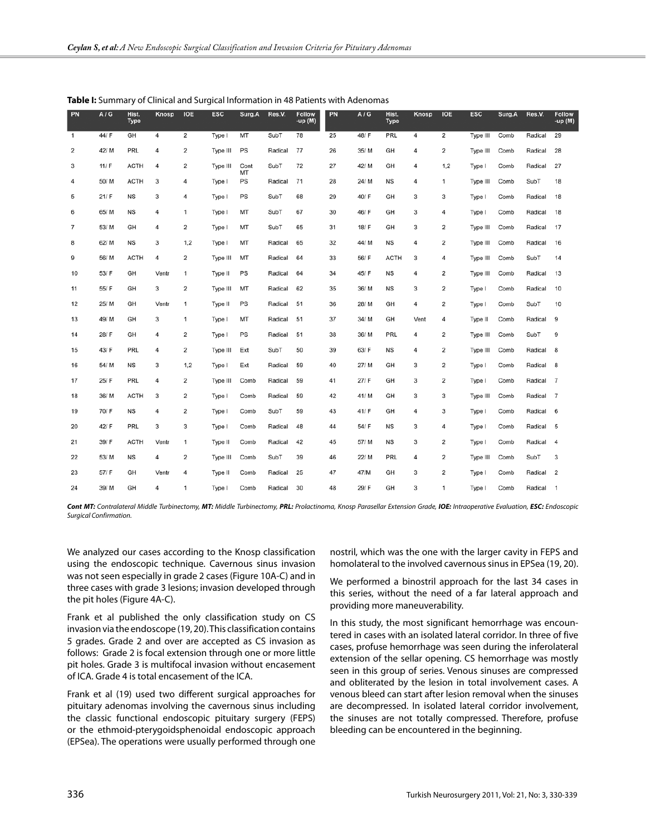| PN             | A/G   | Hist.<br><b>Type</b> | Knosp | <b>IOE</b> | <b>ESC</b> | Surg.A     | Res.V.  | <b>Follow</b><br>-up (M) | PN | A/G   | Hist.<br><b>Type</b> | Knosp | <b>IOE</b> | <b>ESC</b> | Surg.A | Res.V.  | <b>Follow</b><br>-up (M) |
|----------------|-------|----------------------|-------|------------|------------|------------|---------|--------------------------|----|-------|----------------------|-------|------------|------------|--------|---------|--------------------------|
| $\overline{1}$ | 44/ F | GH                   | 4     | 2          | Type I     | MT         | SubT    | 78                       | 25 | 48/F  | PRL                  | 4     | 2          | Type III   | Comb   | Radical | 29                       |
| 2              | 42/M  | <b>PRL</b>           | 4     | 2          | Type III   | PS         | Radical | 77                       | 26 | 35/M  | GH                   | 4     | 2          | Type III   | Comb   | Radical | 28                       |
| 3              | 11/ F | <b>ACTH</b>          | 4     | 2          | Type III   | Cont<br>MT | SubT    | 72                       | 27 | 42/ M | GH                   | 4     | 1,2        | Type I     | Comb   | Radical | 27                       |
| 4              | 50/M  | <b>ACTH</b>          | 3     | 4          | Type I     | PS         | Radical | 71                       | 28 | 24/ M | <b>NS</b>            | 4     | 1          | Type III   | Comb   | SubT    | 18                       |
| 5              | 21/ F | <b>NS</b>            | 3     | 4          | Type I     | PS         | SubT    | 68                       | 29 | 40/F  | GH                   | 3     | 3          | Type I     | Comb   | Radical | 18                       |
| 6              | 65/M  | <b>NS</b>            | 4     | 1          | Type I     | MT         | SubT    | 67                       | 30 | 46/F  | GH                   | 3     | 4          | Type I     | Comb   | Radical | 18                       |
| $\overline{7}$ | 53/M  | GH                   | 4     | 2          | Type I     | MT         | SubT    | 65                       | 31 | 18/F  | GH                   | 3     | 2          | Type III   | Comb   | Radical | 17                       |
| 8              | 62/M  | <b>NS</b>            | 3     | 1,2        | Type I     | MT         | Radical | 65                       | 32 | 44/ M | <b>NS</b>            | 4     | 2          | Type III   | Comb   | Radical | 16                       |
| 9              | 56/M  | <b>ACTH</b>          | 4     | 2          | Type III   | MT         | Radical | 64                       | 33 | 56/F  | <b>ACTH</b>          | 3     | 4          | Type III   | Comb   | SubT    | 14                       |
| 10             | 53/ F | GH                   | Ventr | 1          | Type II    | PS         | Radical | 64                       | 34 | 45/F  | <b>NS</b>            | 4     | 2          | Type III   | Comb   | Radical | 13                       |
| 11             | 55/ F | GH                   | 3     | 2          | Type III   | MT         | Radical | 62                       | 35 | 36/M  | <b>NS</b>            | 3     | 2          | Type I     | Comb   | Radical | 10                       |
| 12             | 25/M  | GH                   | Ventr | 1          | Type II    | PS         | Radical | 51                       | 36 | 28/ M | GH                   | 4     | 2          | Type I     | Comb   | SubT    | 10                       |
| 13             | 49/ M | GH                   | 3     | 1          | Type I     | MT         | Radical | 51                       | 37 | 34/ M | GH                   | Vent  | 4          | Type II    | Comb   | Radical | 9                        |
| 14             | 28/ F | GH                   | 4     | 2          | Type I     | PS         | Radical | 51                       | 38 | 36/M  | PRL                  | 4     | 2          | Type III   | Comb   | SubT    | 9                        |
| 15             | 43/F  | <b>PRL</b>           | 4     | 2          | Type III   | Ext        | SubT    | 50                       | 39 | 63/F  | <b>NS</b>            | 4     | 2          | Type III   | Comb   | Radical | 8                        |
| 16             | 54/M  | <b>NS</b>            | 3     | 1,2        | Type I     | Ext        | Radical | 59                       | 40 | 27/M  | GH                   | 3     | 2          | Type I     | Comb   | Radical | 8                        |
| 17             | 25/F  | PRL                  | 4     | 2          | Type III   | Comb       | Radical | 59                       | 41 | 27/F  | GH                   | 3     | 2          | Type I     | Comb   | Radical | $\overline{7}$           |
| 18             | 36/M  | <b>ACTH</b>          | 3     | 2          | Type I     | Comb       | Radical | 59                       | 42 | 41/M  | GH                   | 3     | 3          | Type III   | Comb   | Radical | $\overline{7}$           |
| 19             | 70/ F | <b>NS</b>            | 4     | 2          | Type I     | Comb       | SubT    | 59                       | 43 | 41/ F | GH                   | 4     | 3          | Type I     | Comb   | Radical | 6                        |
| 20             | 42/ F | PRL                  | 3     | 3          | Type I     | Comb       | Radical | 48                       | 44 | 54/ F | NS                   | 3     | 4          | Type I     | Comb   | Radical | 5                        |
| 21             | 39/F  | <b>ACTH</b>          | Ventr | 1          | Type II    | Comb       | Radical | 42                       | 45 | 57/ M | <b>NS</b>            | 3     | 2          | Type I     | Comb   | Radical | 4                        |
| 22             | 53/M  | <b>NS</b>            | 4     | 2          | Type III   | Comb       | SubT    | 39                       | 46 | 22/ M | PRL                  | 4     | 2          | Type III   | Comb   | SubT    | 3                        |
| 23             | 57/ F | GH                   | Ventr | 4          | Type II    | Comb       | Radical | 25                       | 47 | 47/M  | GH                   | 3     | 2          | Type I     | Comb   | Radical | $\overline{\mathbf{2}}$  |
| 24             | 39/M  | GH                   | 4     | 1          | Type I     | Comb       | Radical | 30                       | 48 | 29/F  | GH                   | 3     | 1          | Type I     | Comb   | Radical | $\overline{1}$           |

**Table I:** Summary of Clinical and Surgical Information in 48 Patients with Adenomas

Cont MT: Contralateral Middle Turbinectomy, MT: Middle Turbinectomy, PRL: Prolactinoma, Knosp Parasellar Extension Grade, IOE: Intraoperative Evaluation, ESC: Endoscopic *Surgical Confirmation.*

We analyzed our cases according to the Knosp classification using the endoscopic technique. Cavernous sinus invasion was not seen especially in grade 2 cases (Figure 10A-C) and in three cases with grade 3 lesions; invasion developed through the pit holes (Figure 4A-C).

Frank et al published the only classification study on CS invasion via the endoscope (19, 20). This classification contains 5 grades. Grade 2 and over are accepted as CS invasion as follows: Grade 2 is focal extension through one or more little pit holes. Grade 3 is multifocal invasion without encasement of ICA. Grade 4 is total encasement of the ICA.

Frank et al (19) used two different surgical approaches for pituitary adenomas involving the cavernous sinus including the classic functional endoscopic pituitary surgery (FEPS) or the ethmoid-pterygoidsphenoidal endoscopic approach (EPSea). The operations were usually performed through one

nostril, which was the one with the larger cavity in FEPS and homolateral to the involved cavernous sinus in EPSea (19, 20).

We performed a binostril approach for the last 34 cases in this series, without the need of a far lateral approach and providing more maneuverability.

In this study, the most significant hemorrhage was encountered in cases with an isolated lateral corridor. In three of five cases, profuse hemorrhage was seen during the inferolateral extension of the sellar opening. CS hemorrhage was mostly seen in this group of series. Venous sinuses are compressed and obliterated by the lesion in total involvement cases. A venous bleed can start after lesion removal when the sinuses are decompressed. In isolated lateral corridor involvement, the sinuses are not totally compressed. Therefore, profuse bleeding can be encountered in the beginning.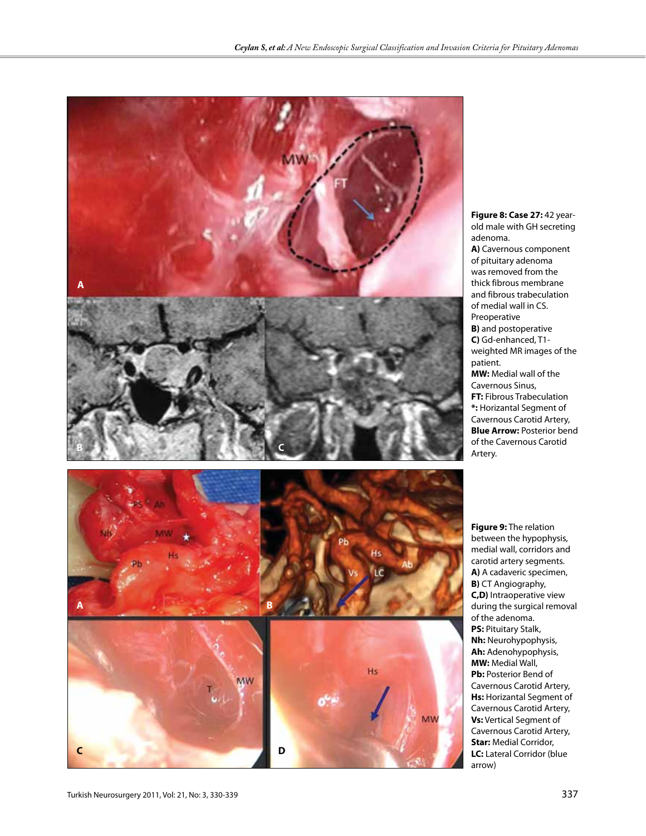

old male with GH secreting adenoma. **A)** Cavernous component of pituitary adenoma was removed from the thick fibrous membrane and fibrous trabeculation of medial wall in CS. Preoperative **B)** and postoperative **C)** Gd-enhanced, T1 weighted MR images of the patient. **MW:** Medial wall of the Cavernous Sinus, **FT:** Fibrous Trabeculation **\*:** Horizantal Segment of Cavernous Carotid Artery, **Blue Arrow:** Posterior bend of the Cavernous Carotid Artery.

**Figure 8: Case 27:** 42 year-

**Figure 9:** The relation between the hypophysis, medial wall, corridors and carotid artery segments. **A)** A cadaveric specimen, **B)** CT Angiography, **C,D)** Intraoperative view during the surgical removal of the adenoma. **PS: Pituitary Stalk, Nh:** Neurohypophysis, **Ah:** Adenohypophysis, **MW:** Medial Wall, **Pb:** Posterior Bend of Cavernous Carotid Artery, **Hs:** Horizantal Segment of Cavernous Carotid Artery, **Vs:** Vertical Segment of Cavernous Carotid Artery, **Star:** Medial Corridor, **LC:** Lateral Corridor (blue arrow)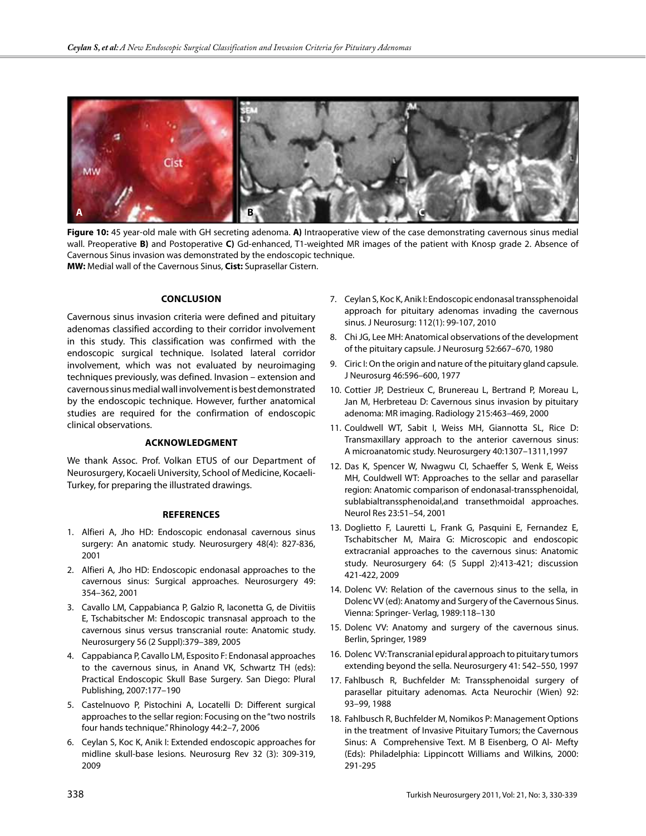

**Figure 10:** 45 year-old male with GH secreting adenoma. **A)** Intraoperative view of the case demonstrating cavernous sinus medial wall. Preoperative **B)** and Postoperative **C)** Gd-enhanced, T1-weighted MR images of the patient with Knosp grade 2. Absence of Cavernous Sinus invasion was demonstrated by the endoscopic technique. **MW:** Medial wall of the Cavernous Sinus, **Cist:** Suprasellar Cistern.

#### **ConclusIon**

Cavernous sinus invasion criteria were defined and pituitary adenomas classified according to their corridor involvement in this study. This classification was confirmed with the endoscopic surgical technique. Isolated lateral corridor involvement, which was not evaluated by neuroimaging techniques previously, was defined. Invasion – extension and cavernous sinus medial wall involvement is best demonstrated by the endoscopic technique. However, further anatomical studies are required for the confirmation of endoscopic clinical observations.

#### **Acknowledgment**

We thank Assoc. Prof. Volkan ETUS of our Department of Neurosurgery, Kocaeli University, School of Medicine, Kocaeli-Turkey, for preparing the illustrated drawings.

#### **References**

- 1. Alfieri A, Jho HD: Endoscopic endonasal cavernous sinus surgery: An anatomic study. Neurosurgery 48(4): 827-836, 2001
- 2. Alfieri A, Jho HD: Endoscopic endonasal approaches to the cavernous sinus: Surgical approaches. Neurosurgery 49: 354–362, 2001
- 3. Cavallo LM, Cappabianca P, Galzio R, Iaconetta G, de Divitiis E, Tschabitscher M: Endoscopic transnasal approach to the cavernous sinus versus transcranial route: Anatomic study. Neurosurgery 56 (2 Suppl):379–389, 2005
- 4. Cappabianca P, Cavallo LM, Esposito F: Endonasal approaches to the cavernous sinus, in Anand VK, Schwartz TH (eds): Practical Endoscopic Skull Base Surgery. San Diego: Plural Publishing, 2007:177–190
- 5. Castelnuovo P, Pistochini A, Locatelli D: Different surgical approaches to the sellar region: Focusing on the "two nostrils four hands technique." Rhinology 44:2–7, 2006
- 6. Ceylan S, Koc K, Anik I: Extended endoscopic approaches for midline skull-base lesions. Neurosurg Rev 32 (3): 309-319, 2009
- 7. Ceylan S, Koc K, Anik I: Endoscopic endonasal transsphenoidal approach for pituitary adenomas invading the cavernous sinus. J Neurosurg: 112(1): 99-107, 2010
- 8. Chi JG, Lee MH: Anatomical observations of the development of the pituitary capsule. J Neurosurg 52:667–670, 1980
- 9. Ciric I: On the origin and nature of the pituitary gland capsule. J Neurosurg 46:596–600, 1977
- 10. Cottier JP, Destrieux C, Brunereau L, Bertrand P, Moreau L, Jan M, Herbreteau D: Cavernous sinus invasion by pituitary adenoma: MR imaging. Radiology 215:463–469, 2000
- 11. Couldwell WT, Sabit I, Weiss MH, Giannotta SL, Rice D: Transmaxillary approach to the anterior cavernous sinus: A microanatomic study. Neurosurgery 40:1307–1311,1997
- 12. Das K, Spencer W, Nwagwu CI, Schaeffer S, Wenk E, Weiss MH, Couldwell WT: Approaches to the sellar and parasellar region: Anatomic comparison of endonasal-transsphenoidal, sublabialtranssphenoidal,and transethmoidal approaches. Neurol Res 23:51–54, 2001
- 13. Doglietto F, Lauretti L, Frank G, Pasquini E, Fernandez E, Tschabitscher M, Maira G: Microscopic and endoscopic extracranial approaches to the cavernous sinus: Anatomic study. Neurosurgery 64: (5 Suppl 2):413-421; discussion 421-422, 2009
- 14. Dolenc VV: Relation of the cavernous sinus to the sella, in Dolenc VV (ed): Anatomy and Surgery of the Cavernous Sinus. Vienna: Springer- Verlag, 1989:118–130
- 15. Dolenc VV: Anatomy and surgery of the cavernous sinus. Berlin, Springer, 1989
- 16. Dolenc VV: Transcranial epidural approach to pituitary tumors extending beyond the sella. Neurosurgery 41: 542–550, 1997
- 17. Fahlbusch R, Buchfelder M: Transsphenoidal surgery of parasellar pituitary adenomas. Acta Neurochir (Wien) 92: 93–99, 1988
- 18. Fahlbusch R, Buchfelder M, Nomikos P: Management Options in the treatment of Invasive Pituitary Tumors; the Cavernous Sinus: A Comprehensive Text. M B Eisenberg, O Al- Mefty (Eds): Philadelphia: Lippincott Williams and Wilkins, 2000: 291-295